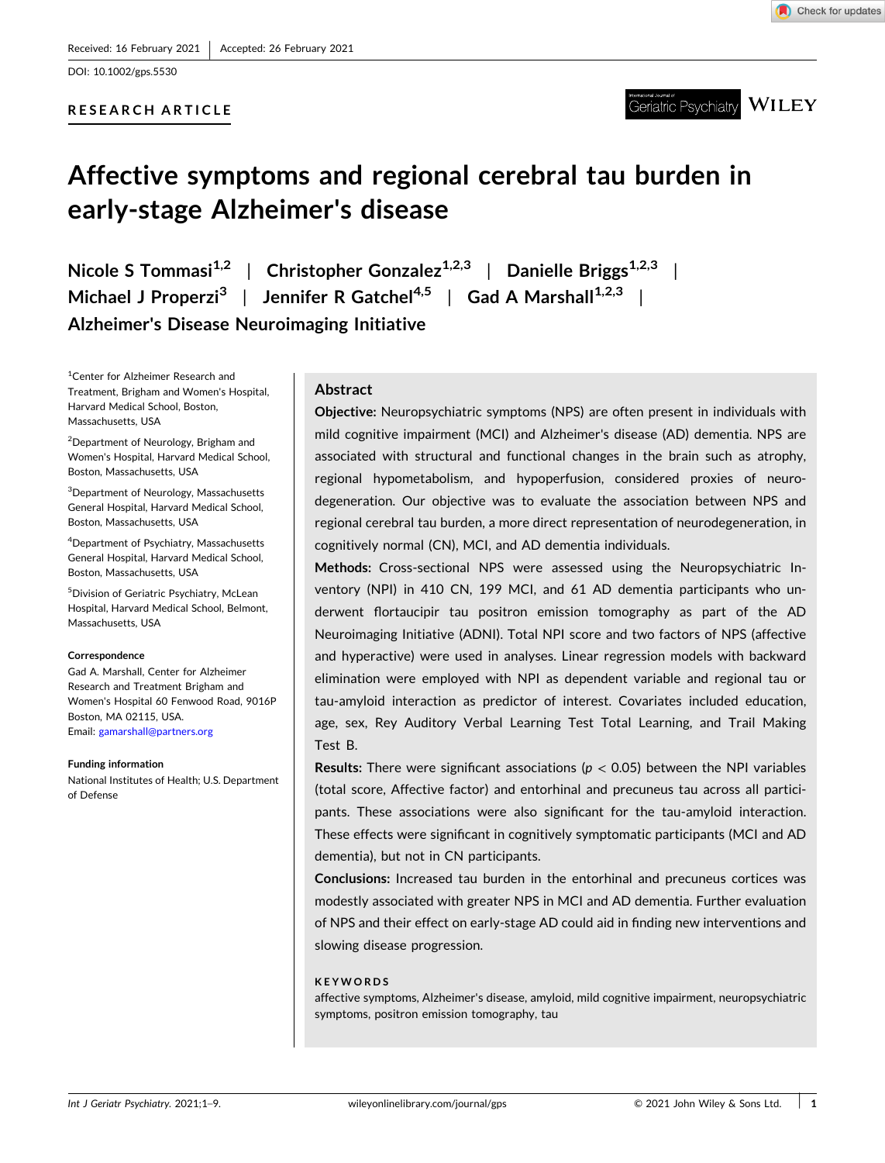DOI: [10.1002/gps.5530](https://doi.org/10.1002/gps.5530)

# **RESEARCH ARTICLE**



**WILEY** Geriatric Psychiatry

# **Affective symptoms and regional cerebral tau burden in early‐stage Alzheimer's disease**

**Nicole S** Tommasi<sup>1,2</sup> | Christopher Gonzalez<sup>1,2,3</sup> | Danielle Briggs<sup>1,2,3</sup> | **Michael J Properzi3** | **Jennifer R Gatchel4,5** | **Gad A Marshall1,2,3** | **Alzheimer's Disease Neuroimaging Initiative**

<sup>1</sup>Center for Alzheimer Research and Treatment, Brigham and Women's Hospital, Harvard Medical School, Boston, Massachusetts, USA

<sup>2</sup>Department of Neurology, Brigham and Women's Hospital, Harvard Medical School, Boston, Massachusetts, USA

3 Department of Neurology, Massachusetts General Hospital, Harvard Medical School, Boston, Massachusetts, USA

4 Department of Psychiatry, Massachusetts General Hospital, Harvard Medical School, Boston, Massachusetts, USA

5 Division of Geriatric Psychiatry, McLean Hospital, Harvard Medical School, Belmont, Massachusetts, USA

#### **Correspondence**

Gad A. Marshall, Center for Alzheimer Research and Treatment Brigham and Women's Hospital 60 Fenwood Road, 9016P Boston, MA 02115, USA. Email: [gamarshall@partners.org](mailto:gamarshall@partners.org)

#### **Funding information**

National Institutes of Health; U.S. Department of Defense

## **Abstract**

**Objective:** Neuropsychiatric symptoms (NPS) are often present in individuals with mild cognitive impairment (MCI) and Alzheimer's disease (AD) dementia. NPS are associated with structural and functional changes in the brain such as atrophy, regional hypometabolism, and hypoperfusion, considered proxies of neurodegeneration. Our objective was to evaluate the association between NPS and regional cerebral tau burden, a more direct representation of neurodegeneration, in cognitively normal (CN), MCI, and AD dementia individuals.

**Methods:** Cross‐sectional NPS were assessed using the Neuropsychiatric Inventory (NPI) in 410 CN, 199 MCI, and 61 AD dementia participants who underwent flortaucipir tau positron emission tomography as part of the AD Neuroimaging Initiative (ADNI). Total NPI score and two factors of NPS (affective and hyperactive) were used in analyses. Linear regression models with backward elimination were employed with NPI as dependent variable and regional tau or tau‐amyloid interaction as predictor of interest. Covariates included education, age, sex, Rey Auditory Verbal Learning Test Total Learning, and Trail Making Test B.

**Results:** There were significant associations ( $p < 0.05$ ) between the NPI variables (total score, Affective factor) and entorhinal and precuneus tau across all participants. These associations were also significant for the tau-amyloid interaction. These effects were significant in cognitively symptomatic participants (MCI and AD dementia), but not in CN participants.

**Conclusions:** Increased tau burden in the entorhinal and precuneus cortices was modestly associated with greater NPS in MCI and AD dementia. Further evaluation of NPS and their effect on early‐stage AD could aid in finding new interventions and slowing disease progression.

#### **KEYWORDS**

affective symptoms, Alzheimer's disease, amyloid, mild cognitive impairment, neuropsychiatric symptoms, positron emission tomography, tau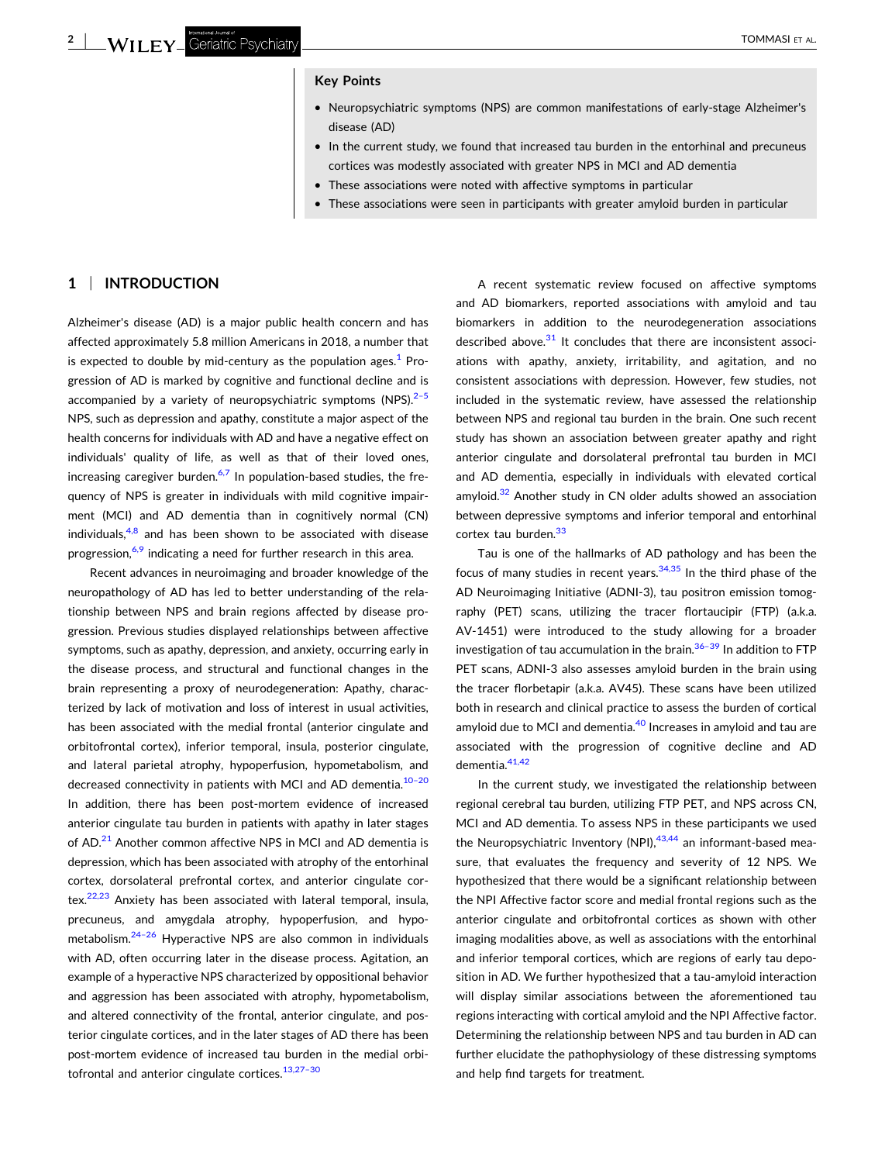#### **Key Points**

- � Neuropsychiatric symptoms (NPS) are common manifestations of early‐stage Alzheimer's disease (AD)
- � In the current study, we found that increased tau burden in the entorhinal and precuneus cortices was modestly associated with greater NPS in MCI and AD dementia
- These associations were noted with affective symptoms in particular
- � These associations were seen in participants with greater amyloid burden in particular

# **1** <sup>|</sup> **INTRODUCTION**

Alzheimer's disease (AD) is a major public health concern and has affected approximately 5.8 million Americans in 2018, a number that is expected to double by mid-century as the population ages.<sup>[1](#page-7-0)</sup> Progression of AD is marked by cognitive and functional decline and is accompanied by a variety of neuropsychiatric symptoms (NPS). $2-5$ NPS, such as depression and apathy, constitute a major aspect of the health concerns for individuals with AD and have a negative effect on individuals' quality of life, as well as that of their loved ones, increasing caregiver burden. $6,7$  In population-based studies, the frequency of NPS is greater in individuals with mild cognitive impairment (MCI) and AD dementia than in cognitively normal (CN) individuals, $4,8$  and has been shown to be associated with disease progression, $6,9$  indicating a need for further research in this area.

Recent advances in neuroimaging and broader knowledge of the neuropathology of AD has led to better understanding of the relationship between NPS and brain regions affected by disease progression. Previous studies displayed relationships between affective symptoms, such as apathy, depression, and anxiety, occurring early in the disease process, and structural and functional changes in the brain representing a proxy of neurodegeneration: Apathy, characterized by lack of motivation and loss of interest in usual activities, has been associated with the medial frontal (anterior cingulate and orbitofrontal cortex), inferior temporal, insula, posterior cingulate, and lateral parietal atrophy, hypoperfusion, hypometabolism, and decreased connectivity in patients with MCI and AD dementia.<sup>10-20</sup> In addition, there has been post‐mortem evidence of increased anterior cingulate tau burden in patients with apathy in later stages of AD.<sup>21</sup> Another common affective NPS in MCI and AD dementia is depression, which has been associated with atrophy of the entorhinal cortex, dorsolateral prefrontal cortex, and anterior cingulate cor-tex.<sup>[22,23](#page-7-0)</sup> Anxiety has been associated with lateral temporal, insula, precuneus, and amygdala atrophy, hypoperfusion, and hypometabolism.<sup>24-26</sup> Hyperactive NPS are also common in individuals with AD, often occurring later in the disease process. Agitation, an example of a hyperactive NPS characterized by oppositional behavior and aggression has been associated with atrophy, hypometabolism, and altered connectivity of the frontal, anterior cingulate, and posterior cingulate cortices, and in the later stages of AD there has been post‐mortem evidence of increased tau burden in the medial orbitofrontal and anterior cingulate cortices.<sup>13,27-30</sup>

A recent systematic review focused on affective symptoms and AD biomarkers, reported associations with amyloid and tau biomarkers in addition to the neurodegeneration associations described above. $31$  It concludes that there are inconsistent associations with apathy, anxiety, irritability, and agitation, and no consistent associations with depression. However, few studies, not included in the systematic review, have assessed the relationship between NPS and regional tau burden in the brain. One such recent study has shown an association between greater apathy and right anterior cingulate and dorsolateral prefrontal tau burden in MCI and AD dementia, especially in individuals with elevated cortical amyloid. $32$  Another study in CN older adults showed an association between depressive symptoms and inferior temporal and entorhinal cortex tau burden.<sup>[33](#page-8-0)</sup>

Tau is one of the hallmarks of AD pathology and has been the focus of many studies in recent years.  $34,35$  In the third phase of the AD Neuroimaging Initiative (ADNI‐3), tau positron emission tomography (PET) scans, utilizing the tracer flortaucipir (FTP) (a.k.a. AV‐1451) were introduced to the study allowing for a broader investigation of tau accumulation in the brain.<sup>36-39</sup> In addition to FTP PET scans, ADNI-3 also assesses amyloid burden in the brain using the tracer florbetapir (a.k.a. AV45). These scans have been utilized both in research and clinical practice to assess the burden of cortical amyloid due to MCI and dementia.<sup>[40](#page-8-0)</sup> Increases in amyloid and tau are associated with the progression of cognitive decline and AD dementia. 41,42

In the current study, we investigated the relationship between regional cerebral tau burden, utilizing FTP PET, and NPS across CN, MCI and AD dementia. To assess NPS in these participants we used the Neuropsychiatric Inventory (NPI), $43,44$  an informant-based measure, that evaluates the frequency and severity of 12 NPS. We hypothesized that there would be a significant relationship between the NPI Affective factor score and medial frontal regions such as the anterior cingulate and orbitofrontal cortices as shown with other imaging modalities above, as well as associations with the entorhinal and inferior temporal cortices, which are regions of early tau deposition in AD. We further hypothesized that a tau-amyloid interaction will display similar associations between the aforementioned tau regions interacting with cortical amyloid and the NPI Affective factor. Determining the relationship between NPS and tau burden in AD can further elucidate the pathophysiology of these distressing symptoms and help find targets for treatment.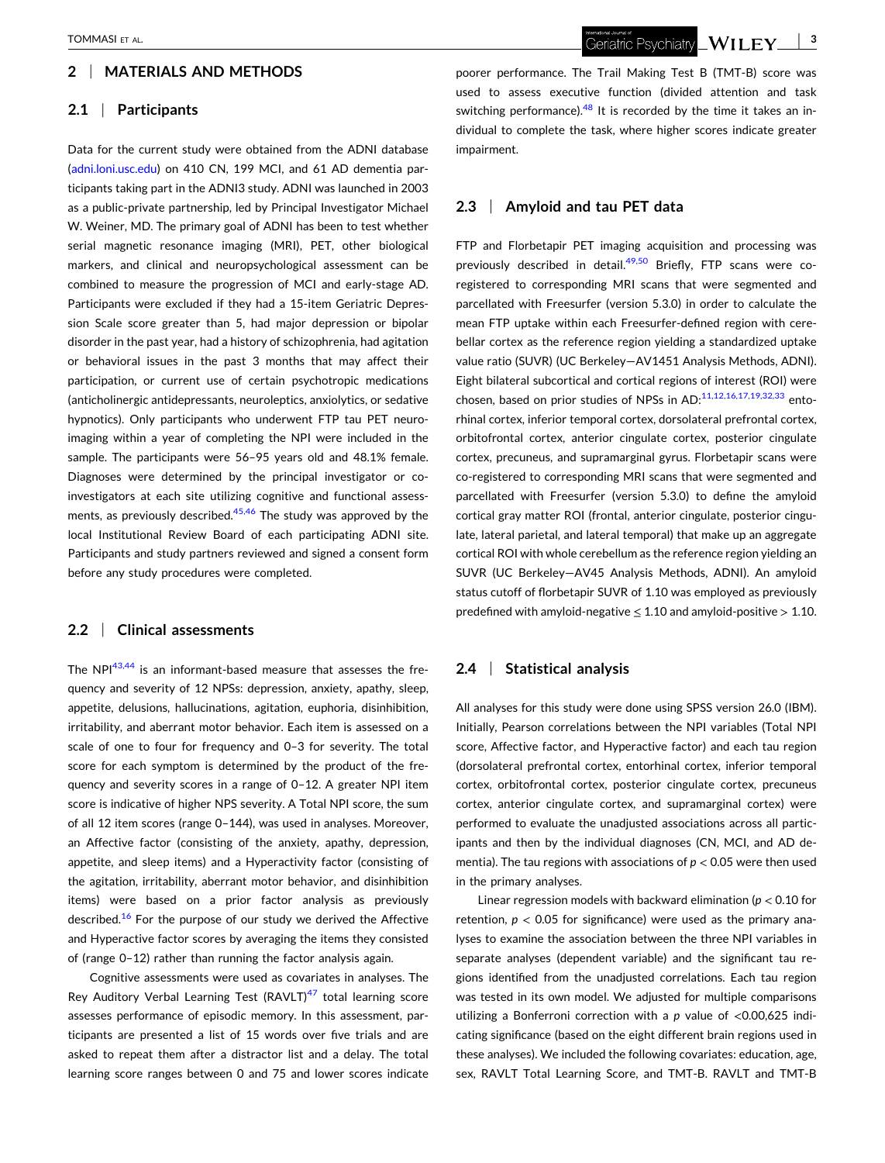# **2** <sup>|</sup> **MATERIALS AND METHODS**

# **2.1** <sup>|</sup> **Participants**

Data for the current study were obtained from the ADNI database [\(adni.loni.usc.edu\)](http://adni.loni.usc.edu) on 410 CN, 199 MCI, and 61 AD dementia participants taking part in the ADNI3 study. ADNI was launched in 2003 as a public‐private partnership, led by Principal Investigator Michael W. Weiner, MD. The primary goal of ADNI has been to test whether serial magnetic resonance imaging (MRI), PET, other biological markers, and clinical and neuropsychological assessment can be combined to measure the progression of MCI and early‐stage AD. Participants were excluded if they had a 15‐item Geriatric Depression Scale score greater than 5, had major depression or bipolar disorder in the past year, had a history of schizophrenia, had agitation or behavioral issues in the past 3 months that may affect their participation, or current use of certain psychotropic medications (anticholinergic antidepressants, neuroleptics, anxiolytics, or sedative hypnotics). Only participants who underwent FTP tau PET neuroimaging within a year of completing the NPI were included in the sample. The participants were 56–95 years old and 48.1% female. Diagnoses were determined by the principal investigator or co‐ investigators at each site utilizing cognitive and functional assessments, as previously described. $45,46$  The study was approved by the local Institutional Review Board of each participating ADNI site. Participants and study partners reviewed and signed a consent form before any study procedures were completed.

### **2.2** <sup>|</sup> **Clinical assessments**

The NPI<sup>[43,44](#page-8-0)</sup> is an informant-based measure that assesses the frequency and severity of 12 NPSs: depression, anxiety, apathy, sleep, appetite, delusions, hallucinations, agitation, euphoria, disinhibition, irritability, and aberrant motor behavior. Each item is assessed on a scale of one to four for frequency and 0–3 for severity. The total score for each symptom is determined by the product of the frequency and severity scores in a range of 0–12. A greater NPI item score is indicative of higher NPS severity. A Total NPI score, the sum of all 12 item scores (range 0–144), was used in analyses. Moreover, an Affective factor (consisting of the anxiety, apathy, depression, appetite, and sleep items) and a Hyperactivity factor (consisting of the agitation, irritability, aberrant motor behavior, and disinhibition items) were based on a prior factor analysis as previously described.<sup>16</sup> For the purpose of our study we derived the Affective and Hyperactive factor scores by averaging the items they consisted of (range 0–12) rather than running the factor analysis again.

Cognitive assessments were used as covariates in analyses. The Rey Auditory Verbal Learning Test (RAVLT) $47$  total learning score assesses performance of episodic memory. In this assessment, participants are presented a list of 15 words over five trials and are asked to repeat them after a distractor list and a delay. The total learning score ranges between 0 and 75 and lower scores indicate

poorer performance. The Trail Making Test B (TMT‐B) score was used to assess executive function (divided attention and task switching performance). $48$  It is recorded by the time it takes an individual to complete the task, where higher scores indicate greater impairment.

# **2.3** <sup>|</sup> **Amyloid and tau PET data**

FTP and Florbetapir PET imaging acquisition and processing was previously described in detail.<sup>[49,50](#page-8-0)</sup> Briefly, FTP scans were coregistered to corresponding MRI scans that were segmented and parcellated with Freesurfer (version 5.3.0) in order to calculate the mean FTP uptake within each Freesurfer‐defined region with cerebellar cortex as the reference region yielding a standardized uptake value ratio (SUVR) (UC Berkeley—AV1451 Analysis Methods, ADNI). Eight bilateral subcortical and cortical regions of interest (ROI) were chosen, based on prior studies of NPSs in AD:<sup>[11,12,16,17,19,32,33](#page-7-0)</sup> entorhinal cortex, inferior temporal cortex, dorsolateral prefrontal cortex, orbitofrontal cortex, anterior cingulate cortex, posterior cingulate cortex, precuneus, and supramarginal gyrus. Florbetapir scans were co‐registered to corresponding MRI scans that were segmented and parcellated with Freesurfer (version 5.3.0) to define the amyloid cortical gray matter ROI (frontal, anterior cingulate, posterior cingulate, lateral parietal, and lateral temporal) that make up an aggregate cortical ROI with whole cerebellum as the reference region yielding an SUVR (UC Berkeley—AV45 Analysis Methods, ADNI). An amyloid status cutoff of florbetapir SUVR of 1.10 was employed as previously predefined with amyloid-negative  $\leq 1.10$  and amyloid-positive  $> 1.10$ .

# **2.4** <sup>|</sup> **Statistical analysis**

All analyses for this study were done using SPSS version 26.0 (IBM). Initially, Pearson correlations between the NPI variables (Total NPI score, Affective factor, and Hyperactive factor) and each tau region (dorsolateral prefrontal cortex, entorhinal cortex, inferior temporal cortex, orbitofrontal cortex, posterior cingulate cortex, precuneus cortex, anterior cingulate cortex, and supramarginal cortex) were performed to evaluate the unadjusted associations across all participants and then by the individual diagnoses (CN, MCI, and AD dementia). The tau regions with associations of *p* < 0.05 were then used in the primary analyses.

Linear regression models with backward elimination (*p* < 0.10 for retention, *p* < 0.05 for significance) were used as the primary analyses to examine the association between the three NPI variables in separate analyses (dependent variable) and the significant tau regions identified from the unadjusted correlations. Each tau region was tested in its own model. We adjusted for multiple comparisons utilizing a Bonferroni correction with a *p* value of <0.00,625 indicating significance (based on the eight different brain regions used in these analyses). We included the following covariates: education, age, sex, RAVLT Total Learning Score, and TMT‐B. RAVLT and TMT‐B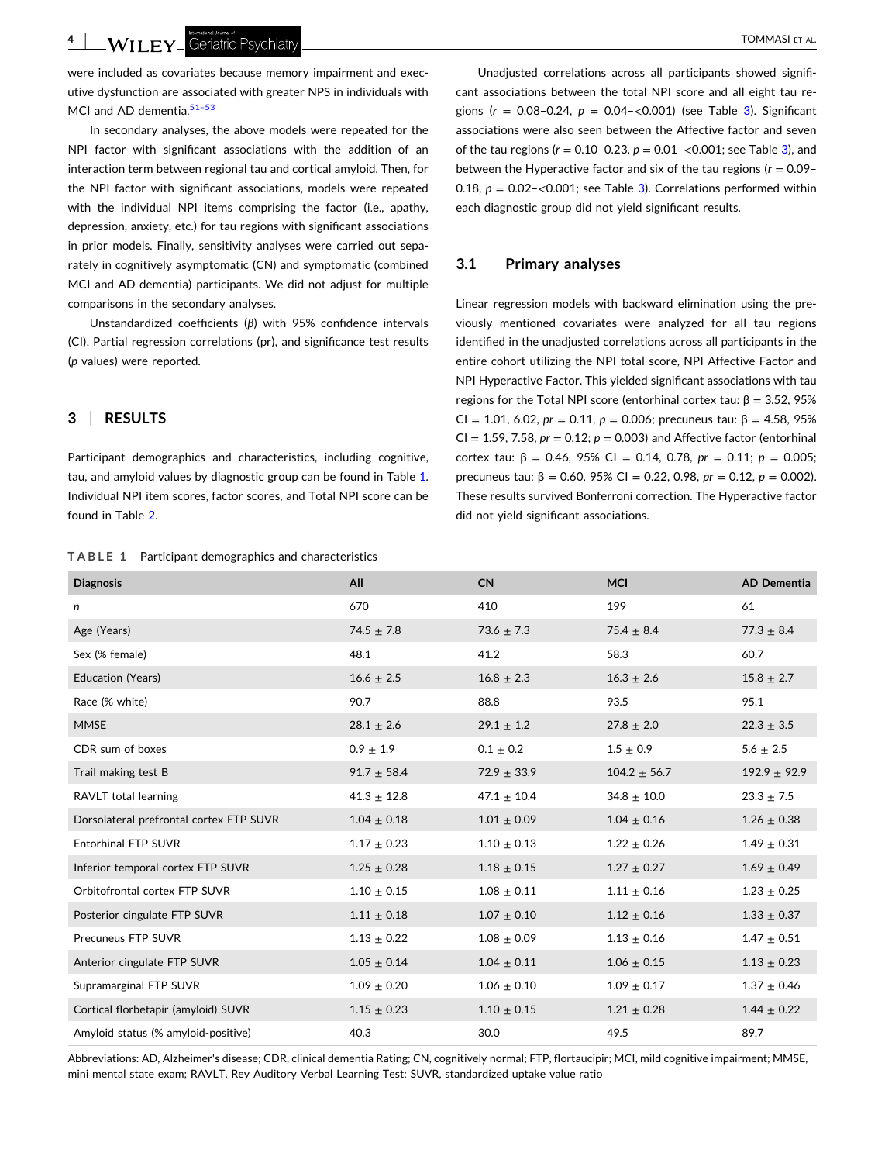- TOMMASI ET AL.

were included as covariates because memory impairment and executive dysfunction are associated with greater NPS in individuals with MCI and AD dementia.<sup>51-53</sup>

In secondary analyses, the above models were repeated for the NPI factor with significant associations with the addition of an interaction term between regional tau and cortical amyloid. Then, for the NPI factor with significant associations, models were repeated with the individual NPI items comprising the factor (i.e., apathy, depression, anxiety, etc.) for tau regions with significant associations in prior models. Finally, sensitivity analyses were carried out separately in cognitively asymptomatic (CN) and symptomatic (combined MCI and AD dementia) participants. We did not adjust for multiple comparisons in the secondary analyses.

Unstandardized coefficients (*β*) with 95% confidence intervals (CI), Partial regression correlations (pr), and significance test results (*p* values) were reported.

## **3** <sup>|</sup> **RESULTS**

Participant demographics and characteristics, including cognitive, tau, and amyloid values by diagnostic group can be found in Table 1. Individual NPI item scores, factor scores, and Total NPI score can be found in Table [2](#page-4-0).

# **TABLE 1** Participant demographics and characteristics

Unadjusted correlations across all participants showed significant associations between the total NPI score and all eight tau regions (*r* = 0.08–0.24, *p* = 0.04–<0.001) (see Table [3](#page-4-0)). Significant associations were also seen between the Affective factor and seven of the tau regions (*r* = 0.10–0.23, *p* = 0.01–<0.001; see Table [3](#page-4-0)), and between the Hyperactive factor and six of the tau regions (*r* = 0.09– 0.18,  $p = 0.02 - \langle 0.001$ ; see Table [3\)](#page-4-0). Correlations performed within each diagnostic group did not yield significant results.

# **3.1** <sup>|</sup> **Primary analyses**

Linear regression models with backward elimination using the previously mentioned covariates were analyzed for all tau regions identified in the unadjusted correlations across all participants in the entire cohort utilizing the NPI total score, NPI Affective Factor and NPI Hyperactive Factor. This yielded significant associations with tau regions for the Total NPI score (entorhinal cortex tau:  $β = 3.52$ , 95% CI = 1.01, 6.02,  $pr = 0.11$ ,  $p = 0.006$ ; precuneus tau:  $\beta = 4.58$ , 95%  $CI = 1.59, 7.58, pr = 0.12; p = 0.003$ ) and Affective factor (entorhinal cortex tau: β = 0.46, 95% CI = 0.14, 0.78, *pr* = 0.11; *p* = 0.005; precuneus tau: β = 0.60, 95% CI = 0.22, 0.98, *pr* = 0.12, *p* = 0.002). These results survived Bonferroni correction. The Hyperactive factor did not yield significant associations.

| <b>Diagnosis</b>                        | All                | <b>CN</b>       | <b>MCI</b>        | <b>AD Dementia</b> |
|-----------------------------------------|--------------------|-----------------|-------------------|--------------------|
| n                                       | 670                | 410             | 199               | 61                 |
| Age (Years)                             | $74.5 \pm 7.8$     | $73.6 \pm 7.3$  | 75.4 $\pm$ 8.4    | $77.3 \pm 8.4$     |
| Sex (% female)                          | 48.1               | 41.2            | 58.3              | 60.7               |
| <b>Education (Years)</b>                | $16.6$ $\pm$ $2.5$ | $16.8 \pm 2.3$  | $16.3 \pm 2.6$    | $15.8 \pm 2.7$     |
| Race (% white)                          | 90.7               | 88.8            | 93.5              | 95.1               |
| <b>MMSE</b>                             | $28.1 \pm 2.6$     | $29.1 \pm 1.2$  | $27.8 \pm 2.0$    | $22.3 \pm 3.5$     |
| CDR sum of boxes                        | $0.9 \pm 1.9$      | $0.1 \pm 0.2$   | $1.5 \pm 0.9$     | $5.6 \pm 2.5$      |
| Trail making test B                     | $91.7 \pm 58.4$    | $72.9 \pm 33.9$ | $104.2 \pm 56.7$  | $192.9 \pm 92.9$   |
| RAVLT total learning                    | $41.3 \pm 12.8$    | $47.1 \pm 10.4$ | $34.8 \pm 10.0$   | $23.3 \pm 7.5$     |
| Dorsolateral prefrontal cortex FTP SUVR | $1.04 \pm 0.18$    | $1.01 \pm 0.09$ | $1.04 \pm 0.16$   | $1.26 \pm 0.38$    |
| Entorhinal FTP SUVR                     | $1.17$ $\pm$ 0.23  | $1.10 \pm 0.13$ | $1.22\,\pm\,0.26$ | $1.49 \pm 0.31$    |
| Inferior temporal cortex FTP SUVR       | $1.25 \pm 0.28$    | $1.18 \pm 0.15$ | $1.27 \pm 0.27$   | $1.69 \pm 0.49$    |
| Orbitofrontal cortex FTP SUVR           | $1.10 \pm 0.15$    | $1.08 \pm 0.11$ | $1.11 \pm 0.16$   | $1.23 \pm 0.25$    |
| Posterior cingulate FTP SUVR            | $1.11 \pm 0.18$    | $1.07 \pm 0.10$ | $1.12 \pm 0.16$   | $1.33 \pm 0.37$    |
| Precuneus FTP SUVR                      | $1.13 \pm 0.22$    | $1.08 \pm 0.09$ | $1.13 \pm 0.16$   | $1.47 \pm 0.51$    |
| Anterior cingulate FTP SUVR             | $1.05 \pm 0.14$    | $1.04 \pm 0.11$ | $1.06 \pm 0.15$   | $1.13 \pm 0.23$    |
| Supramarginal FTP SUVR                  | $1.09 \pm 0.20$    | $1.06 \pm 0.10$ | $1.09 \pm 0.17$   | $1.37 \pm 0.46$    |
| Cortical florbetapir (amyloid) SUVR     | $1.15 \pm 0.23$    | $1.10 \pm 0.15$ | $1.21 \pm 0.28$   | $1.44 \pm 0.22$    |
| Amyloid status (% amyloid-positive)     | 40.3               | 30.0            | 49.5              | 89.7               |

Abbreviations: AD, Alzheimer's disease; CDR, clinical dementia Rating; CN, cognitively normal; FTP, flortaucipir; MCI, mild cognitive impairment; MMSE, mini mental state exam; RAVLT, Rey Auditory Verbal Learning Test; SUVR, standardized uptake value ratio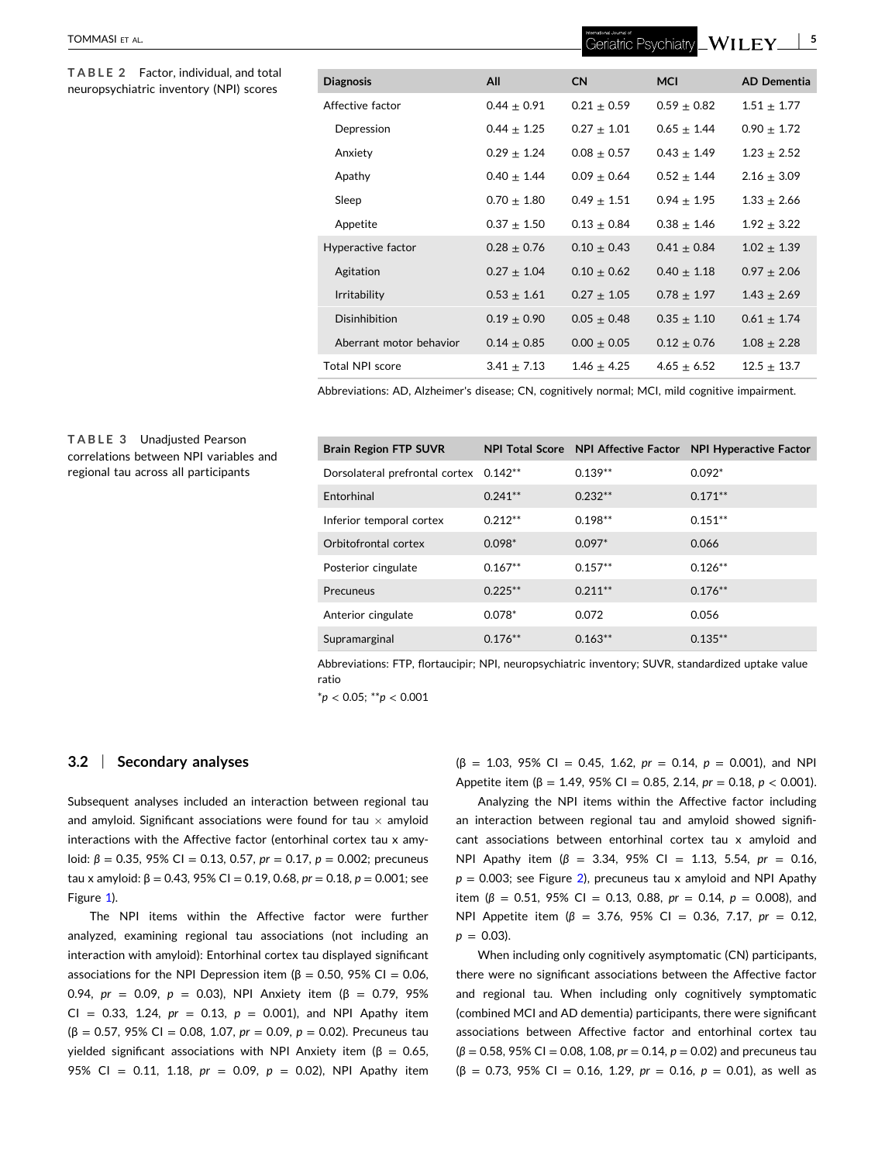#### <span id="page-4-0"></span>TOMMASI ET AL.

**TABLE 2** Factor, individual, and total  $neuropsychiatric$  *inventory* (NPI) scores

| <b>Diagnosis</b>        | All             | <b>CN</b>       | <b>MCI</b>      | <b>AD Dementia</b> |
|-------------------------|-----------------|-----------------|-----------------|--------------------|
| Affective factor        | $0.44 + 0.91$   | $0.21 + 0.59$   | $0.59 + 0.82$   | $1.51 + 1.77$      |
| Depression              | $0.44 + 1.25$   | $0.27 + 1.01$   | $0.65 + 1.44$   | $0.90 + 1.72$      |
| Anxiety                 | $0.29 \pm 1.24$ | $0.08 \pm 0.57$ | $0.43 \pm 1.49$ | $1.23 \pm 2.52$    |
| Apathy                  | $0.40 \pm 1.44$ | $0.09 \pm 0.64$ | $0.52 \pm 1.44$ | $2.16 \pm 3.09$    |
| Sleep                   | $0.70 + 1.80$   | $0.49 + 1.51$   | $0.94 + 1.95$   | $1.33 + 2.66$      |
| Appetite                | $0.37 \pm 1.50$ | $0.13 + 0.84$   | $0.38 + 1.46$   | $1.92 \pm 3.22$    |
| Hyperactive factor      | $0.28 \pm 0.76$ | $0.10 + 0.43$   | $0.41 + 0.84$   | $1.02 \pm 1.39$    |
| Agitation               | $0.27 \pm 1.04$ | $0.10 + 0.62$   | $0.40 \pm 1.18$ | $0.97 + 2.06$      |
| <b>Irritability</b>     | $0.53 + 1.61$   | $0.27 + 1.05$   | $0.78 + 1.97$   | $1.43 \pm 2.69$    |
| Disinhibition           | $0.19 + 0.90$   | $0.05 + 0.48$   | $0.35 + 1.10$   | $0.61 \pm 1.74$    |
| Aberrant motor behavior | $0.14 \pm 0.85$ | $0.00 \pm 0.05$ | $0.12 + 0.76$   | $1.08 + 2.28$      |
| Total NPI score         | $3.41 \pm 7.13$ | $1.46 + 4.25$   | $4.65 \pm 6.52$ | $12.5 + 13.7$      |

Abbreviations: AD, Alzheimer's disease; CN, cognitively normal; MCI, mild cognitive impairment.

## **TABLE 3** Unadjusted Pearson correlations between NPI variables and regional tau across all participants

| <b>Brain Region FTP SUVR</b>   |           |           | NPI Total Score NPI Affective Factor NPI Hyperactive Factor |
|--------------------------------|-----------|-----------|-------------------------------------------------------------|
| Dorsolateral prefrontal cortex | $0.142**$ | $0.139**$ | $0.092*$                                                    |
| Entorhinal                     | $0.241**$ | $0.232**$ | $0.171**$                                                   |
| Inferior temporal cortex       | $0.212**$ | $0.198**$ | $0.151**$                                                   |
| Orbitofrontal cortex           | $0.098*$  | $0.097*$  | 0.066                                                       |
| Posterior cingulate            | $0.167**$ | $0.157**$ | $0.126**$                                                   |
| Precuneus                      | $0.225**$ | $0.211**$ | $0.176**$                                                   |
| Anterior cingulate             | $0.078*$  | 0.072     | 0.056                                                       |
| Supramarginal                  | $0.176**$ | $0.163**$ | $0.135**$                                                   |

Abbreviations: FTP, flortaucipir; NPI, neuropsychiatric inventory; SUVR, standardized uptake value ratio

\**p* < 0.05; \*\**p* < 0.001

#### **3.2** <sup>|</sup> **Secondary analyses**

Subsequent analyses included an interaction between regional tau and amyloid. Significant associations were found for tau  $\times$  amyloid interactions with the Affective factor (entorhinal cortex tau x amyloid:  $\beta$  = 0.35, 95% Cl = 0.13, 0.57, *pr* = 0.17, *p* = 0.002; precuneus tau x amyloid: β = 0.43, 95% CI = 0.19, 0.68, *pr* = 0.18, *p* = 0.001; see Figure [1](#page-5-0)).

The NPI items within the Affective factor were further analyzed, examining regional tau associations (not including an interaction with amyloid): Entorhinal cortex tau displayed significant associations for the NPI Depression item ( $β = 0.50$ , 95% CI = 0.06, 0.94, *pr* = 0.09, *p* = 0.03), NPI Anxiety item (β = 0.79, 95%  $CI = 0.33, 1.24, pr = 0.13, p = 0.001, and NPI$  Apathy item (β = 0.57, 95% CI = 0.08, 1.07, *pr* = 0.09, *p* = 0.02). Precuneus tau yielded significant associations with NPI Anxiety item ( $β = 0.65$ , 95% CI = 0.11, 1.18, *pr* = 0.09, *p* = 0.02), NPI Apathy item

 $(\beta = 1.03, 95\% \text{ Cl} = 0.45, 1.62, pr = 0.14, p = 0.001),$  and NPI Appetite item (β = 1.49, 95% CI = 0.85, 2.14, *pr* = 0.18, *p* < 0.001).

Analyzing the NPI items within the Affective factor including an interaction between regional tau and amyloid showed significant associations between entorhinal cortex tau x amyloid and NPI Apathy item (*β* = 3.34, 95% CI = 1.13, 5.54, *pr* = 0.16,  $p = 0.003$ ; see Figure [2\)](#page-6-0), precuneus tau x amyloid and NPI Apathy item ( $\beta$  = 0.51, 95% CI = 0.13, 0.88,  $pr = 0.14$ ,  $p = 0.008$ ), and NPI Appetite item (*β* = 3.76, 95% CI = 0.36, 7.17, *pr* = 0.12,  $p = 0.03$ ).

When including only cognitively asymptomatic (CN) participants, there were no significant associations between the Affective factor and regional tau. When including only cognitively symptomatic (combined MCI and AD dementia) participants, there were significant associations between Affective factor and entorhinal cortex tau (*β* = 0.58, 95% CI = 0.08, 1.08, *pr* = 0.14, *p* = 0.02) and precuneus tau (β = 0.73, 95% CI = 0.16, 1.29, *pr* = 0.16, *p* = 0.01), as well as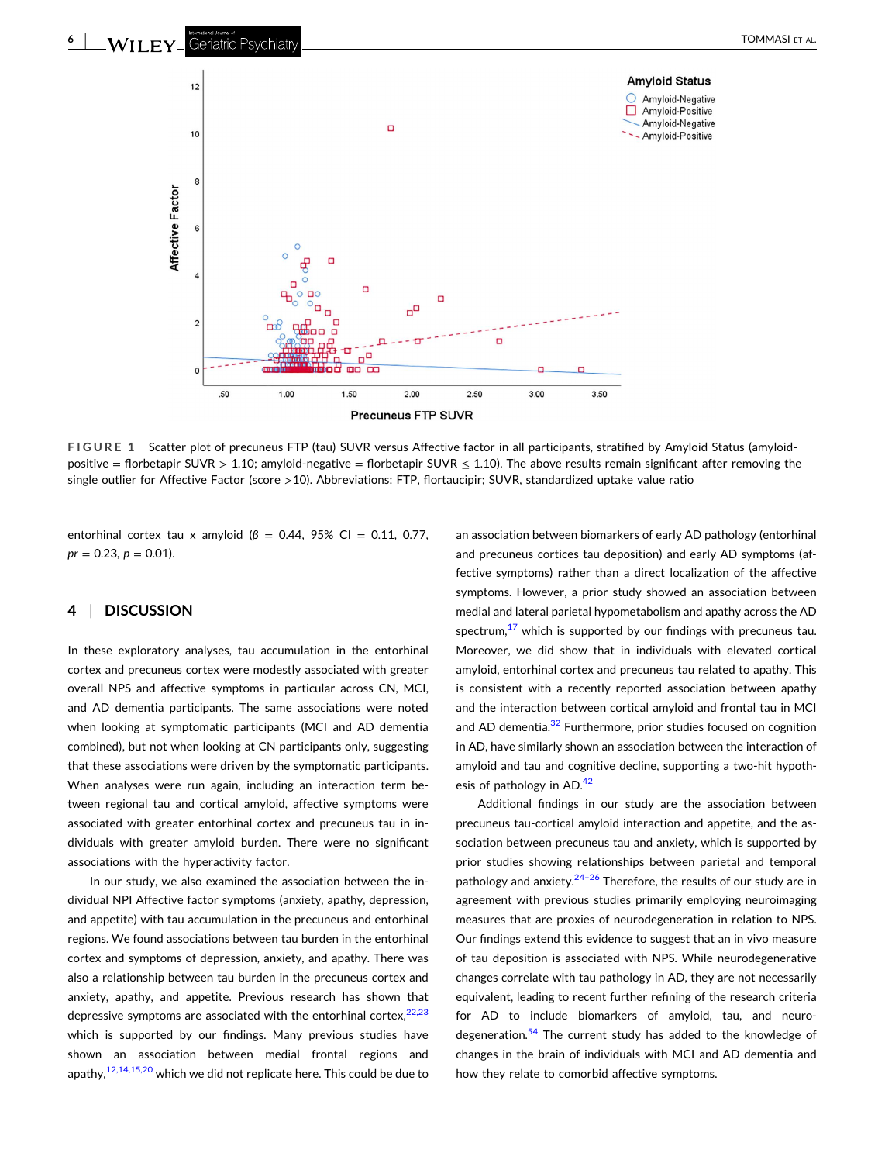<span id="page-5-0"></span>

**FIGURE 1** Scatter plot of precuneus FTP (tau) SUVR versus Affective factor in all participants, stratified by Amyloid Status (amyloid‐ positive = florbetapir SUVR > 1.10; amyloid-negative = florbetapir SUVR  $\leq$  1.10). The above results remain significant after removing the single outlier for Affective Factor (score >10). Abbreviations: FTP, flortaucipir; SUVR, standardized uptake value ratio

entorhinal cortex tau x amyloid ( $\beta$  = 0.44, 95% CI = 0.11, 0.77,  $pr = 0.23$ ,  $p = 0.01$ ).

## **4** <sup>|</sup> **DISCUSSION**

In these exploratory analyses, tau accumulation in the entorhinal cortex and precuneus cortex were modestly associated with greater overall NPS and affective symptoms in particular across CN, MCI, and AD dementia participants. The same associations were noted when looking at symptomatic participants (MCI and AD dementia combined), but not when looking at CN participants only, suggesting that these associations were driven by the symptomatic participants. When analyses were run again, including an interaction term between regional tau and cortical amyloid, affective symptoms were associated with greater entorhinal cortex and precuneus tau in individuals with greater amyloid burden. There were no significant associations with the hyperactivity factor.

In our study, we also examined the association between the individual NPI Affective factor symptoms (anxiety, apathy, depression, and appetite) with tau accumulation in the precuneus and entorhinal regions. We found associations between tau burden in the entorhinal cortex and symptoms of depression, anxiety, and apathy. There was also a relationship between tau burden in the precuneus cortex and anxiety, apathy, and appetite. Previous research has shown that depressive symptoms are associated with the entorhinal cortex, $22,23$ which is supported by our findings. Many previous studies have shown an association between medial frontal regions and apathy, $12,14,15,20$  which we did not replicate here. This could be due to

an association between biomarkers of early AD pathology (entorhinal and precuneus cortices tau deposition) and early AD symptoms (affective symptoms) rather than a direct localization of the affective symptoms. However, a prior study showed an association between medial and lateral parietal hypometabolism and apathy across the AD spectrum, $17$  which is supported by our findings with precuneus tau. Moreover, we did show that in individuals with elevated cortical amyloid, entorhinal cortex and precuneus tau related to apathy. This is consistent with a recently reported association between apathy and the interaction between cortical amyloid and frontal tau in MCI and AD dementia.<sup>32</sup> Furthermore, prior studies focused on cognition in AD, have similarly shown an association between the interaction of amyloid and tau and cognitive decline, supporting a two‐hit hypothesis of pathology in AD.<sup>42</sup>

Additional findings in our study are the association between precuneus tau-cortical amyloid interaction and appetite, and the association between precuneus tau and anxiety, which is supported by prior studies showing relationships between parietal and temporal pathology and anxiety. $24-26$  Therefore, the results of our study are in agreement with previous studies primarily employing neuroimaging measures that are proxies of neurodegeneration in relation to NPS. Our findings extend this evidence to suggest that an in vivo measure of tau deposition is associated with NPS. While neurodegenerative changes correlate with tau pathology in AD, they are not necessarily equivalent, leading to recent further refining of the research criteria for AD to include biomarkers of amyloid, tau, and neurodegeneration.<sup>54</sup> The current study has added to the knowledge of changes in the brain of individuals with MCI and AD dementia and how they relate to comorbid affective symptoms.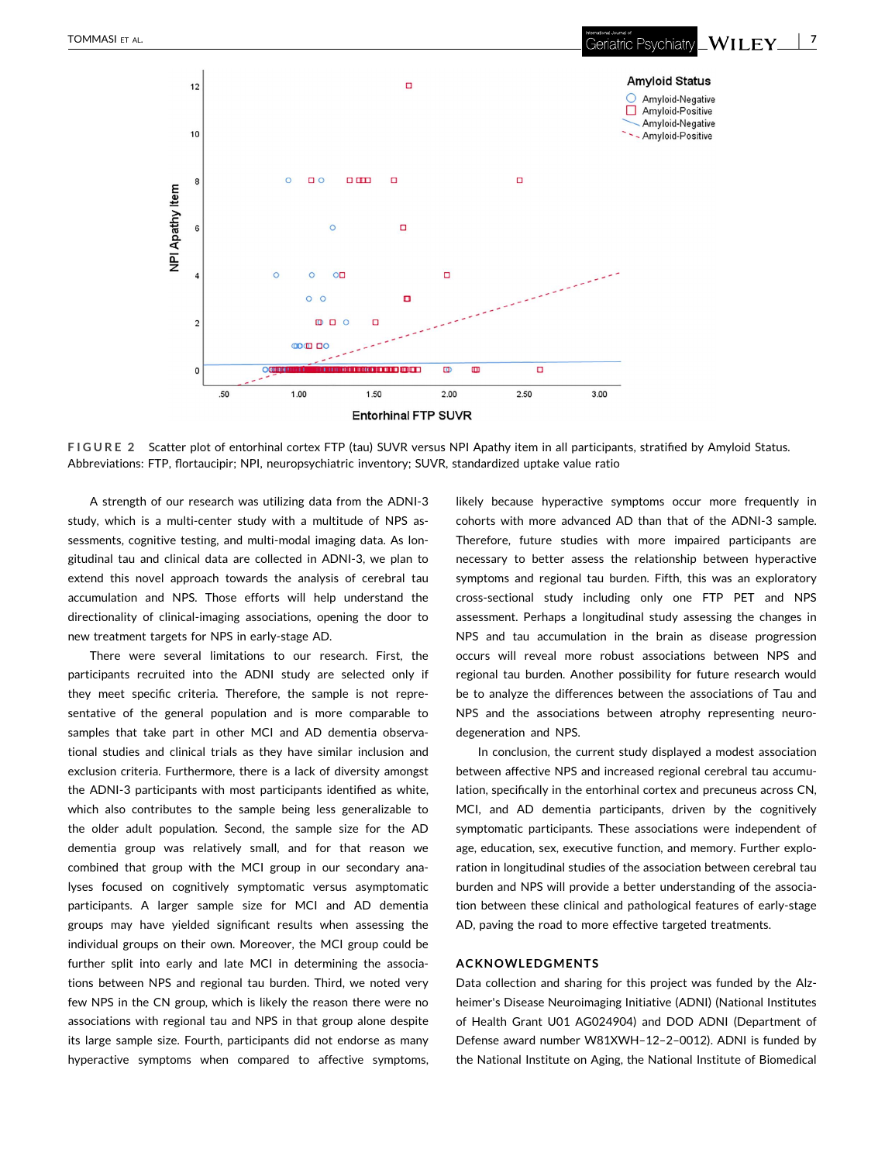<span id="page-6-0"></span>

**FIGURE 2** Scatter plot of entorhinal cortex FTP (tau) SUVR versus NPI Apathy item in all participants, stratified by Amyloid Status. Abbreviations: FTP, flortaucipir; NPI, neuropsychiatric inventory; SUVR, standardized uptake value ratio

A strength of our research was utilizing data from the ADNI‐3 study, which is a multi-center study with a multitude of NPS assessments, cognitive testing, and multi-modal imaging data. As longitudinal tau and clinical data are collected in ADNI‐3, we plan to extend this novel approach towards the analysis of cerebral tau accumulation and NPS. Those efforts will help understand the directionality of clinical‐imaging associations, opening the door to new treatment targets for NPS in early‐stage AD.

There were several limitations to our research. First, the participants recruited into the ADNI study are selected only if they meet specific criteria. Therefore, the sample is not representative of the general population and is more comparable to samples that take part in other MCI and AD dementia observational studies and clinical trials as they have similar inclusion and exclusion criteria. Furthermore, there is a lack of diversity amongst the ADNI‐3 participants with most participants identified as white, which also contributes to the sample being less generalizable to the older adult population. Second, the sample size for the AD dementia group was relatively small, and for that reason we combined that group with the MCI group in our secondary analyses focused on cognitively symptomatic versus asymptomatic participants. A larger sample size for MCI and AD dementia groups may have yielded significant results when assessing the individual groups on their own. Moreover, the MCI group could be further split into early and late MCI in determining the associations between NPS and regional tau burden. Third, we noted very few NPS in the CN group, which is likely the reason there were no associations with regional tau and NPS in that group alone despite its large sample size. Fourth, participants did not endorse as many hyperactive symptoms when compared to affective symptoms,

likely because hyperactive symptoms occur more frequently in cohorts with more advanced AD than that of the ADNI‐3 sample. Therefore, future studies with more impaired participants are necessary to better assess the relationship between hyperactive symptoms and regional tau burden. Fifth, this was an exploratory cross‐sectional study including only one FTP PET and NPS assessment. Perhaps a longitudinal study assessing the changes in NPS and tau accumulation in the brain as disease progression occurs will reveal more robust associations between NPS and regional tau burden. Another possibility for future research would be to analyze the differences between the associations of Tau and NPS and the associations between atrophy representing neurodegeneration and NPS.

In conclusion, the current study displayed a modest association between affective NPS and increased regional cerebral tau accumulation, specifically in the entorhinal cortex and precuneus across CN, MCI, and AD dementia participants, driven by the cognitively symptomatic participants. These associations were independent of age, education, sex, executive function, and memory. Further exploration in longitudinal studies of the association between cerebral tau burden and NPS will provide a better understanding of the association between these clinical and pathological features of early‐stage AD, paving the road to more effective targeted treatments.

#### **ACKNOWLEDGMENTS**

Data collection and sharing for this project was funded by the Alzheimer's Disease Neuroimaging Initiative (ADNI) (National Institutes of Health Grant U01 AG024904) and DOD ADNI (Department of Defense award number W81XWH–12–2–0012). ADNI is funded by the National Institute on Aging, the National Institute of Biomedical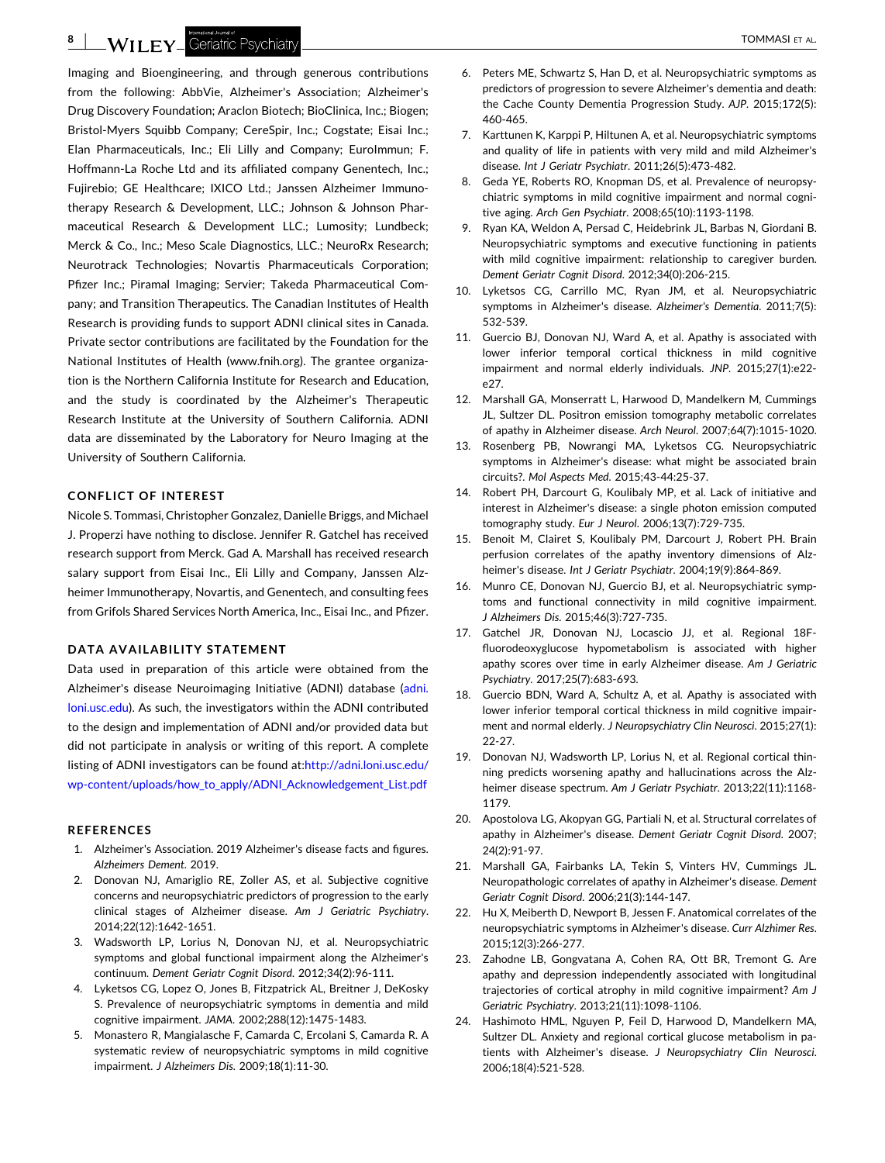<span id="page-7-0"></span>Imaging and Bioengineering, and through generous contributions from the following: AbbVie, Alzheimer's Association; Alzheimer's Drug Discovery Foundation; Araclon Biotech; BioClinica, Inc.; Biogen; Bristol‐Myers Squibb Company; CereSpir, Inc.; Cogstate; Eisai Inc.; Elan Pharmaceuticals, Inc.; Eli Lilly and Company; EuroImmun; F. Hoffmann‐La Roche Ltd and its affiliated company Genentech, Inc.; Fujirebio; GE Healthcare; IXICO Ltd.; Janssen Alzheimer Immunotherapy Research & Development, LLC.; Johnson & Johnson Pharmaceutical Research & Development LLC.; Lumosity; Lundbeck; Merck & Co., Inc.; Meso Scale Diagnostics, LLC.; NeuroRx Research; Neurotrack Technologies; Novartis Pharmaceuticals Corporation; Pfizer Inc.; Piramal Imaging; Servier; Takeda Pharmaceutical Company; and Transition Therapeutics. The Canadian Institutes of Health Research is providing funds to support ADNI clinical sites in Canada. Private sector contributions are facilitated by the Foundation for the National Institutes of Health (www.fnih.org). The grantee organization is the Northern California Institute for Research and Education, and the study is coordinated by the Alzheimer's Therapeutic Research Institute at the University of Southern California. ADNI data are disseminated by the Laboratory for Neuro Imaging at the University of Southern California.

#### **CONFLICT OF INTEREST**

Nicole S. Tommasi, Christopher Gonzalez, Danielle Briggs, and Michael J. Properzi have nothing to disclose. Jennifer R. Gatchel has received research support from Merck. Gad A. Marshall has received research salary support from Eisai Inc., Eli Lilly and Company, Janssen Alzheimer Immunotherapy, Novartis, and Genentech, and consulting fees from Grifols Shared Services North America, Inc., Eisai Inc., and Pfizer.

#### **DATA AVAILABILITY STATEMENT**

Data used in preparation of this article were obtained from the Alzheimer's disease Neuroimaging Initiative (ADNI) database ([adni.](http://adni.loni.usc.edu) [loni.usc.edu\)](http://adni.loni.usc.edu). As such, the investigators within the ADNI contributed to the design and implementation of ADNI and/or provided data but did not participate in analysis or writing of this report. A complete listing of ADNI investigators can be found at[:http://adni.loni.usc.edu/](http://adni.loni.usc.edu/wp-content/uploads/how_to_apply/ADNI_Acknowledgement_List.pdf) wp-[content/uploads/how\\_to\\_apply/ADNI\\_Acknowledgement\\_List.pdf](http://adni.loni.usc.edu/wp-content/uploads/how_to_apply/ADNI_Acknowledgement_List.pdf)

#### **REFERENCES**

- 1. Alzheimer's Association. 2019 Alzheimer's disease facts and figures. *Alzheimers Dement*. 2019.
- 2. Donovan NJ, Amariglio RE, Zoller AS, et al. Subjective cognitive concerns and neuropsychiatric predictors of progression to the early clinical stages of Alzheimer disease. *Am J Geriatric Psychiatry*. 2014;22(12):1642‐1651.
- 3. Wadsworth LP, Lorius N, Donovan NJ, et al. Neuropsychiatric symptoms and global functional impairment along the Alzheimer's continuum. *Dement Geriatr Cognit Disord*. 2012;34(2):96‐111.
- 4. Lyketsos CG, Lopez O, Jones B, Fitzpatrick AL, Breitner J, DeKosky S. Prevalence of neuropsychiatric symptoms in dementia and mild cognitive impairment. *JAMA*. 2002;288(12):1475‐1483.
- 5. Monastero R, Mangialasche F, Camarda C, Ercolani S, Camarda R. A systematic review of neuropsychiatric symptoms in mild cognitive impairment. *J Alzheimers Dis*. 2009;18(1):11‐30.
- 6. Peters ME, Schwartz S, Han D, et al. Neuropsychiatric symptoms as predictors of progression to severe Alzheimer's dementia and death: the Cache County Dementia Progression Study. *AJP*. 2015;172(5): 460‐465.
- 7. Karttunen K, Karppi P, Hiltunen A, et al. Neuropsychiatric symptoms and quality of life in patients with very mild and mild Alzheimer's disease. *Int J Geriatr Psychiatr*. 2011;26(5):473‐482.
- 8. Geda YE, Roberts RO, Knopman DS, et al. Prevalence of neuropsychiatric symptoms in mild cognitive impairment and normal cognitive aging. *Arch Gen Psychiatr*. 2008;65(10):1193‐1198.
- 9. Ryan KA, Weldon A, Persad C, Heidebrink JL, Barbas N, Giordani B. Neuropsychiatric symptoms and executive functioning in patients with mild cognitive impairment: relationship to caregiver burden. *Dement Geriatr Cognit Disord*. 2012;34(0):206‐215.
- 10. Lyketsos CG, Carrillo MC, Ryan JM, et al. Neuropsychiatric symptoms in Alzheimer's disease. *Alzheimer's Dementia*. 2011;7(5): 532‐539.
- 11. Guercio BJ, Donovan NJ, Ward A, et al. Apathy is associated with lower inferior temporal cortical thickness in mild cognitive impairment and normal elderly individuals. *JNP*. 2015;27(1):e22‐ e27.
- 12. Marshall GA, Monserratt L, Harwood D, Mandelkern M, Cummings JL, Sultzer DL. Positron emission tomography metabolic correlates of apathy in Alzheimer disease. *Arch Neurol*. 2007;64(7):1015‐1020.
- 13. Rosenberg PB, Nowrangi MA, Lyketsos CG. Neuropsychiatric symptoms in Alzheimer's disease: what might be associated brain circuits?. *Mol Aspects Med*. 2015;43‐44:25‐37.
- 14. Robert PH, Darcourt G, Koulibaly MP, et al. Lack of initiative and interest in Alzheimer's disease: a single photon emission computed tomography study. *Eur J Neurol*. 2006;13(7):729‐735.
- 15. Benoit M, Clairet S, Koulibaly PM, Darcourt J, Robert PH. Brain perfusion correlates of the apathy inventory dimensions of Alzheimer's disease. *Int J Geriatr Psychiatr*. 2004;19(9):864‐869.
- 16. Munro CE, Donovan NJ, Guercio BJ, et al. Neuropsychiatric symptoms and functional connectivity in mild cognitive impairment. *J Alzheimers Dis*. 2015;46(3):727‐735.
- 17. Gatchel JR, Donovan NJ, Locascio JJ, et al. Regional 18F‐ fluorodeoxyglucose hypometabolism is associated with higher apathy scores over time in early Alzheimer disease. *Am J Geriatric Psychiatry*. 2017;25(7):683‐693.
- 18. Guercio BDN, Ward A, Schultz A, et al. Apathy is associated with lower inferior temporal cortical thickness in mild cognitive impairment and normal elderly. *J Neuropsychiatry Clin Neurosci*. 2015;27(1): 22‐27.
- 19. Donovan NJ, Wadsworth LP, Lorius N, et al. Regional cortical thinning predicts worsening apathy and hallucinations across the Alzheimer disease spectrum. *Am J Geriatr Psychiatr*. 2013;22(11):1168‐ 1179.
- 20. Apostolova LG, Akopyan GG, Partiali N, et al. Structural correlates of apathy in Alzheimer's disease. *Dement Geriatr Cognit Disord*. 2007; 24(2):91‐97.
- 21. Marshall GA, Fairbanks LA, Tekin S, Vinters HV, Cummings JL. Neuropathologic correlates of apathy in Alzheimer's disease. *Dement Geriatr Cognit Disord*. 2006;21(3):144‐147.
- 22. Hu X, Meiberth D, Newport B, Jessen F. Anatomical correlates of the neuropsychiatric symptoms in Alzheimer's disease. *Curr Alzhimer Res*. 2015;12(3):266‐277.
- 23. Zahodne LB, Gongvatana A, Cohen RA, Ott BR, Tremont G. Are apathy and depression independently associated with longitudinal trajectories of cortical atrophy in mild cognitive impairment? *Am J Geriatric Psychiatry*. 2013;21(11):1098‐1106.
- 24. Hashimoto HML, Nguyen P, Feil D, Harwood D, Mandelkern MA, Sultzer DL. Anxiety and regional cortical glucose metabolism in patients with Alzheimer's disease. *J Neuropsychiatry Clin Neurosci*. 2006;18(4):521‐528.